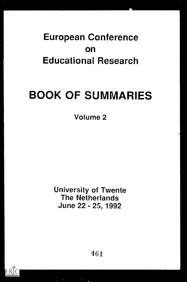## European Conference on Educational Research

# BOOK OF SUMMARIES

Volume 2

University of Twente The Netherlands June 22 - 25, 1992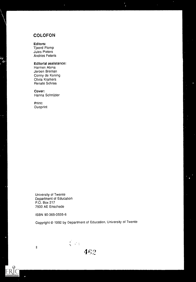#### COLOFON

Editors:

Tjeerd Plomp Jules Pieters Andries Feteris

#### Editorial assistance:

Harmen Abrna Jeroen Breman Conny de Koning Olivia Kramers Renate Schraa

#### Cover:

Hanna Schnijder

Print: Duoprint

University of Twente Department of Education P.O. Box 217 7500 AE Enschede

ISBN 90-365-0535-6

II

Copyright © 1992 by Department of Education, University of Twente

 $\frac{2}{3}$  f;P<br>462

 $\bullet$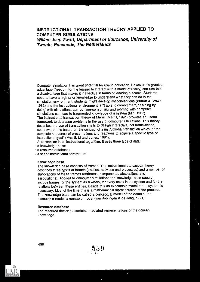#### INSTRUCTIONAL TRANSACTION THEORY APPLIED TO COMPUTER SIMULATIONS Willem Jaap Zwart, Department of Education, University of Twente, Enschede, The Netherlands

Computer simulation has great potential for use in education. However it's greatest advantage (freedom for the learner to Interact with a model of reality) can turn into a disadvantage that makes it ineffective in terms of learning outcome. Students need to have a high prior knowledge to understand what they can do in the simulation environment, students might develop misconceptions (Burton & Brown, 1982) and the instructional environment isn't able to correct them, 'learning by doing' with simulations can be time-consuming and working with computer simulations can lead to fragmented knowledge cf a system (Min, 1987). The instructional transaction theory of Merrill (Merrill, 1991) provides an useful framework to decrease problems in the use of computer simulations. This theory describes the use of transaction shells to design interactive, not frame-based, courseware. It is based on the concept of a instructional transaction which is 'the complete sequence of presentations and reactions to acquire a specific type of instructional goal" (Merrill, Li and Jones, 1991).

A transaction is an instructional algorithm. It uses three type of data:

- a knowledge base;
- a resource database;
- a set of instructional parameters.

#### Knowledge base

The knowledge base consists of frames. The instructional transaction theory describes three types of frames (entities, activities and processes) and a number of elaborations of these frames (attributes, components, abstractions and associations). Applied to computer simulations the knowledge base should include frames for the system as a whole, for every entity in the system and for the relations between these entities. Beside this an executable model of the system is necessary. Most of the time this is a mathematical representation of the process. The knowledge base can be called a conceptual model of the domain, the executable model a runnable model (van Joolingen & de Jong, 1991)

#### Resource database

The resource database contains mediated representations of the domain knowledge.

530

 $\bullet$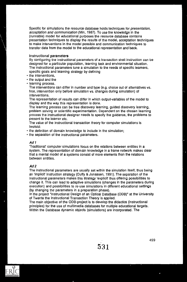Specific for simulations the resource database holds techniques for *presentation*, acceptation and communication (Min, 1987). To use the knowledge in the (runnable) model for educational purposes the resource database contains presentation techniques to display the results of the model, acceptation techniques to make interventions in the model possible and communication techniques to transfer data from the model to the educational representation and back.

#### Instructional parameters

By configuring the instructional parameters of a transaction shell instruction can be designed for a particular population, learning task and environmental situation. The instructional parameters tune a simulation to the needs of specific learners, specific goals and learning strategy by defining

- the interventions.
- the output and the
- · learning process.

The interventions can differ in number and type (e.g. choice out of alternatives vs. free, intervention only before simulation vs. changes during simulation) of interventions.

The representation of results can differ In which output-variables of the model to display and the way this representation is done.

The learning process can be free discovery learning, guided discovery learning, problem solving or scientific experimentation. Dependent on the chosen learning process the instructional designer needs to specify the guidance, the problems to present to the learner etc.

The value of the instructional transaction theory for computer simulations is twofold:

- $\cdot$  the definition of domain knowledge to include in the simulation;
- $\cdot$  the separation of the instructional parameters.

#### Ad I

'Traditional' computer simulations focus on the relations between entities in a system. The representation of domain knowledge in a frame network makes clear that a mental model of a systems consist of more elements than the relations between entities.

#### Ad 2

The instructional parameters are usually set within the simulation itself, thus being an 'implicit' instruction strategy (Duffy & Jonassen, 1991). The separation of the instructional parameters makes this strategy 'explicit' thus offering possibilities to change it. This can lead to adaptive simulations (changes in the parameters during execution) and possibilities to re-use simulations in different educational settings (by changing the parameters in a preparation phase).

In the project "Instructional Design of an Optical DataBase (ODB)" at the University of Twente the Instructional Transaction Theory is applied.

The main objective of the ODB-project Is to develop the didactics (Instructional principles) for the use of multimedia databases for multiple educational targets. Within the Database dynamic objects (simulations) are Incorporated. The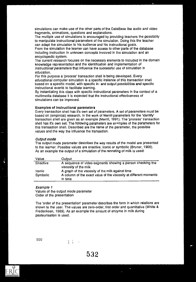simulations can make use of the other parts of the Data Base like audio and video fragments, animations, questions and explanations.

The multiple use of simulations is encouraged by providing teachers the possibility to manipulate instructional parameters of the simulation. Doing this the teacher can adapt the simulation to his audience and his instructional goals.

From the simulation the learner can have access to other parts of the database including instruction in unknown concepts involved in the simulation and an encyclopedic system.

The current research focuses on the necessary elements to Included In the domain knowledge representation and the identification and implementation of instructional parameters that influence the successful use of simulation in education.

For this purpose a 'process' transaction shell Is being developed. Every educational computer simulation is a specific Instance of this transaction shell based on a specific model, with specific in- and output possibilities and specific instructional events to facilitate learning.

By instantiating this class with specific instructional parameters in the context of a multimedia database it is expected that the instructional effectiveness of simulations can be improved.

#### Examples of Instructional parameters

Every transaction shell has it's own set of parameters. A set of parameters must be based on (empirical) research. In the work of Merrill parameters for the 'identify' transaction shell are given as an example (Merrill, 1991). The 'process' transaction shell has it's own set. The following parameters are examples of the parameters for this transaction shell. Described are the name of the parameter, the possible values and the way the influence the transaction.

#### Output mode

The output mode parameter describes the way results of the model are presented to the learner. Possible values are enactive, Iconic or symbolic (Bruner, 1966). As an example the output of a simulation of the renneting of milk is used:

| Value    | Output                                                                              |
|----------|-------------------------------------------------------------------------------------|
| Enactive | A sequence of video-segments showing a person checking the<br>viscosity of the milk |
| iconic   | A graph of the viscosity of the milk against time                                   |
| Symbolic | A column of the exact value of the viscosity at different moments<br>in time        |
|          |                                                                                     |

#### Example 1

Values of the output mode parameter Order of the presentation

 $\frac{1}{2} \left( \frac{1}{2} \right)$  ,  $\frac{1}{2} \left( \frac{1}{2} \right)$ 

The 'order of the presentation' parameter describes the form in which relations are shown to the user. The values are zero-order, first order and quantitative (White & Frederiksen, 1989). As an example the amount of enzyme in milk during pasteurisation is used.

500